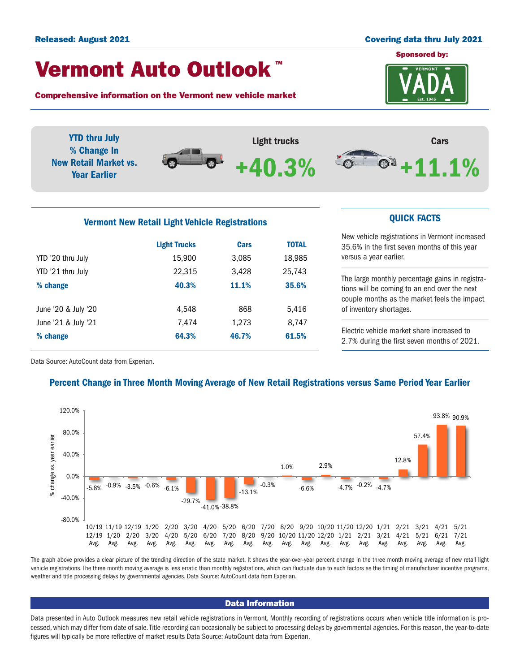#### Released: August 2021 Covering data thru July 2021

# Vermont Auto Outlook TM

Comprehensive information on the Vermont new vehicle market





# Vermont New Retail Light Vehicle Registrations **CUICK FACTS**

|                     | <b>Light Trucks</b> | <b>Cars</b> | <b>TOTAL</b> |  |
|---------------------|---------------------|-------------|--------------|--|
| YTD '20 thru July   | 15,900              | 3,085       | 18,985       |  |
| YTD '21 thru July   | 22,315              | 3,428       | 25,743       |  |
| % change            | 40.3%               | 11.1%       | 35.6%        |  |
| June '20 & July '20 | 4.548               | 868         | 5,416        |  |
| June '21 & July '21 | 7,474               | 1,273       | 8,747        |  |
| % change            | 64.3%               | 46.7%       | 61.5%        |  |

New vehicle registrations in Vermont increased 35.6% in the first seven months of this year versus a year earlier.

The large monthly percentage gains in registrations will be coming to an end over the next couple months as the market feels the impact of inventory shortages.

Electric vehicle market share increased to 2.7% during the first seven months of 2021.

Data Source: AutoCount data from Experian.

# Percent Change in Three Month Moving Average of New Retail Registrations versus Same Period Year Earlier



The graph above provides a clear picture of the trending direction of the state market. It shows the year-over-year percent change in the three month moving average of new retail light vehicle registrations. The three month moving average is less erratic than monthly registrations, which can fluctuate due to such factors as the timing of manufacturer incentive programs, weather and title processing delays by governmental agencies. Data Source: AutoCount data from Experian.

# Data Information

Data presented in Auto Outlook measures new retail vehicle registrations in Vermont. Monthly recording of registrations occurs when vehicle title information is processed, which may differ from date of sale. Title recording can occasionally be subject to processing delays by governmental agencies. For this reason, the year-to-date figures will typically be more reflective of market results Data Source: AutoCount data from Experian.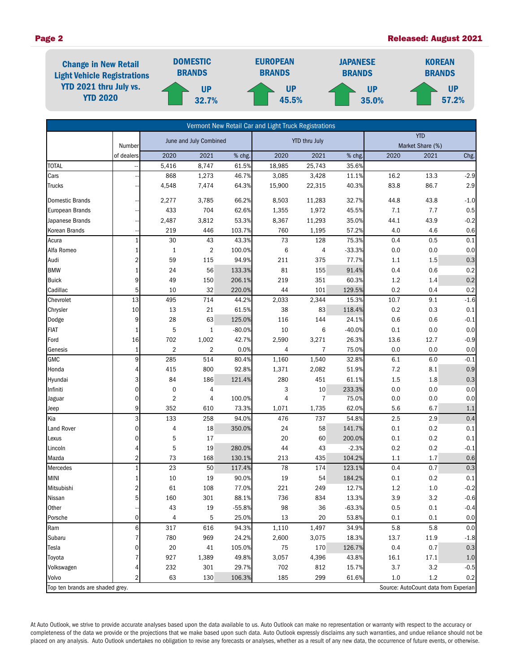# Page 2 Released: August 2021



| Vermont New Retail Car and Light Truck Registrations                    |                      |                         |                |                      |                 |            |          |      |                          |         |  |
|-------------------------------------------------------------------------|----------------------|-------------------------|----------------|----------------------|-----------------|------------|----------|------|--------------------------|---------|--|
|                                                                         |                      | June and July Combined  |                | <b>YTD thru July</b> |                 | <b>YTD</b> |          |      |                          |         |  |
|                                                                         | Number<br>of dealers | 2020                    | 2021           | % chg.               | 2020            | 2021       | % chg.   | 2020 | Market Share (%)<br>2021 | Chg.    |  |
| <b>TOTAL</b>                                                            |                      | 5,416                   | 8,747          | 61.5%                | 18,985          | 25,743     | 35.6%    |      |                          |         |  |
| Cars                                                                    |                      | 868                     | 1,273          | 46.7%                | 3,085           | 3,428      | 11.1%    | 16.2 | 13.3                     | $-2.9$  |  |
| <b>Trucks</b>                                                           |                      | 4,548                   | 7,474          | 64.3%                | 15,900          | 22,315     | 40.3%    | 83.8 | 86.7                     | 2.9     |  |
|                                                                         |                      |                         |                |                      |                 |            |          |      |                          |         |  |
| <b>Domestic Brands</b>                                                  |                      | 2,277                   | 3,785          | 66.2%                | 8,503           | 11,283     | 32.7%    | 44.8 | 43.8                     | $-1.0$  |  |
| European Brands                                                         |                      | 433                     | 704            | 62.6%                | 1,355           | 1,972      | 45.5%    | 7.1  | 7.7                      | 0.5     |  |
| Japanese Brands                                                         |                      | 2,487                   | 3,812          | 53.3%                | 8,367           | 11,293     | 35.0%    | 44.1 | 43.9                     | $-0.2$  |  |
| Korean Brands                                                           |                      | 219                     | 446            | 103.7%               | 760             | 1,195      | 57.2%    | 4.0  | 4.6                      | 0.6     |  |
| Acura                                                                   | $\mathbf{1}$         | 30                      | 43             | 43.3%                | 73              | 128        | 75.3%    | 0.4  | 0.5                      | 0.1     |  |
| Alfa Romeo                                                              | 1                    | $\mathbf{1}$            | $\overline{2}$ | 100.0%               | $6\phantom{1}6$ | 4          | $-33.3%$ | 0.0  | 0.0                      | 0.0     |  |
| Audi                                                                    | $\overline{2}$       | 59                      | 115            | 94.9%                | 211             | 375        | 77.7%    | 1.1  | 1.5                      | 0.3     |  |
| <b>BMW</b>                                                              |                      | 24                      | 56             | 133.3%               | 81              | 155        | 91.4%    | 0.4  | 0.6                      | 0.2     |  |
| <b>Buick</b>                                                            | 9                    | 49                      | 150            | 206.1%               | 219             | 351        | 60.3%    | 1.2  | $1.4\,$                  | 0.2     |  |
| Cadillac                                                                | 5                    | 10                      | 32             | 220.0%               | 44              | 101        | 129.5%   | 0.2  | 0.4                      | 0.2     |  |
| Chevrolet                                                               | 13                   | 495                     | 714            | 44.2%                | 2,033           | 2,344      | 15.3%    | 10.7 | 9.1                      | $-1.6$  |  |
| Chrysler                                                                | 10                   | 13                      | 21             | 61.5%                | 38              | 83         | 118.4%   | 0.2  | 0.3                      | $0.1\,$ |  |
| Dodge                                                                   | 9                    | 28                      | 63             | 125.0%               | 116             | 144        | 24.1%    | 0.6  | 0.6                      | $-0.1$  |  |
| <b>FIAT</b>                                                             | 1                    | 5                       | $\mathbf{1}$   | $-80.0%$             | 10              | 6          | $-40.0%$ | 0.1  | 0.0                      | 0.0     |  |
| Ford                                                                    | 16                   | 702                     | 1,002          | 42.7%                | 2,590           | 3,271      | 26.3%    | 13.6 | 12.7                     | $-0.9$  |  |
| Genesis                                                                 | $\mathbf{1}$         | $\overline{2}$          | $\overline{2}$ | 0.0%                 | 4               | 7          | 75.0%    | 0.0  | 0.0                      | 0.0     |  |
| <b>GMC</b>                                                              | 9                    | 285                     | 514            | 80.4%                | 1,160           | 1,540      | 32.8%    | 6.1  | 6.0                      | $-0.1$  |  |
| Honda                                                                   | 4                    | 415                     | 800            | 92.8%                | 1,371           | 2,082      | 51.9%    | 7.2  | 8.1                      | $0.9\,$ |  |
| Hyundai                                                                 | 3                    | 84                      | 186            | 121.4%               | 280             | 451        | 61.1%    | 1.5  | 1.8                      | $0.3\,$ |  |
| Infiniti                                                                | 0                    | $\pmb{0}$               | 4              |                      | 3               | 10         | 233.3%   | 0.0  | 0.0                      | $0.0\,$ |  |
| Jaguar                                                                  | 0                    | $\overline{\mathbf{c}}$ | 4              | 100.0%               | 4               | 7          | 75.0%    | 0.0  | 0.0                      | $0.0\,$ |  |
| Jeep                                                                    | 9                    | 352                     | 610            | 73.3%                | 1,071           | 1,735      | 62.0%    | 5.6  | 6.7                      | $1.1$   |  |
| Kia                                                                     | 3                    | 133                     | 258            | 94.0%                | 476             | 737        | 54.8%    | 2.5  | 2.9                      | 0.4     |  |
| Land Rover                                                              | $\mathbf 0$          | 4                       | 18             | 350.0%               | 24              | 58         | 141.7%   | 0.1  | 0.2                      | $0.1\,$ |  |
| Lexus                                                                   | 0                    | 5                       | 17             |                      | 20              | 60         | 200.0%   | 0.1  | 0.2                      | 0.1     |  |
| Lincoln                                                                 |                      | 5                       | 19             | 280.0%               | 44              | 43         | $-2.3%$  | 0.2  | 0.2                      | $-0.1$  |  |
| Mazda                                                                   | 2                    | 73                      | 168            | 130.1%               | 213             | 435        | 104.2%   | 1.1  | 1.7                      | 0.6     |  |
| Mercedes                                                                | $\mathbf{1}$         | 23                      | 50             | 117.4%               | 78              | 174        | 123.1%   | 0.4  | 0.7                      | 0.3     |  |
| <b>MINI</b>                                                             | 1                    | 10                      | 19             | 90.0%                | 19              | 54         | 184.2%   | 0.1  | 0.2                      | 0.1     |  |
| Mitsubishi                                                              | 2                    | 61                      | 108            | 77.0%                | 221             | 249        | 12.7%    | 1.2  | $1.0$                    | $-0.2$  |  |
| Nissan                                                                  | 5 <sup>1</sup>       | 160                     | 301            | 88.1%                | 736             | 834        | 13.3%    | 3.9  | 3.2                      | $-0.6$  |  |
| Other                                                                   |                      | 43                      | 19             | $-55.8%$             | 98              | 36         | $-63.3%$ | 0.5  | 0.1                      | $-0.4$  |  |
| Porsche                                                                 | $\overline{0}$       | 4                       | 5              | 25.0%                | 13              | 20         | 53.8%    | 0.1  | 0.1                      | 0.0     |  |
| Ram                                                                     | 6                    | 317                     | 616            | 94.3%                | 1,110           | 1,497      | 34.9%    | 5.8  | 5.8                      | 0.0     |  |
| Subaru                                                                  |                      | 780                     | 969            | 24.2%                | 2,600           | 3,075      | 18.3%    | 13.7 | 11.9                     | $-1.8$  |  |
| Tesla                                                                   | 0                    | 20                      | 41             | 105.0%               | 75              | 170        | 126.7%   | 0.4  | 0.7                      | 0.3     |  |
| Toyota                                                                  |                      | 927                     | 1,389          | 49.8%                | 3,057           | 4,396      | 43.8%    | 16.1 | 17.1                     | $1.0\,$ |  |
| Volkswagen                                                              |                      | 232                     | 301            | 29.7%                | 702             | 812        | 15.7%    | 3.7  | 3.2                      | $-0.5$  |  |
| Volvo                                                                   | 2                    | 63                      | 130            | 106.3%               | 185             | 299        | 61.6%    | 1.0  | 1.2                      | 0.2     |  |
| Source: AutoCount data from Experian<br>Top ten brands are shaded grey. |                      |                         |                |                      |                 |            |          |      |                          |         |  |

At Auto Outlook, we strive to provide accurate analyses based upon the data available to us. Auto Outlook can make no representation or warranty with respect to the accuracy or completeness of the data we provide or the projections that we make based upon such data. Auto Outlook expressly disclaims any such warranties, and undue reliance should not be placed on any analysis. Auto Outlook undertakes no obligation to revise any forecasts or analyses, whether as a result of any new data, the occurrence of future events, or otherwise.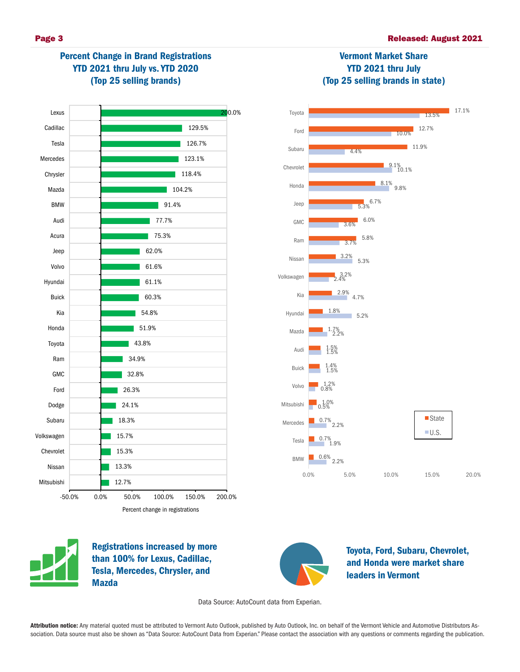



Registrations increased by more than 100% for Lexus, Cadillac, Tesla, Mercedes, Chrysler, and Mazda



Toyota, Ford, Subaru, Chevrolet, and Honda were market share leaders in Vermont

Data Source: AutoCount data from Experian.

Attribution notice: Any material quoted must be attributed to Vermont Auto Outlook, published by Auto Outlook, Inc. on behalf of the Vermont Vehicle and Automotive Distributors Association. Data source must also be shown as "Data Source: AutoCount Data from Experian." Please contact the association with any questions or comments regarding the publication.